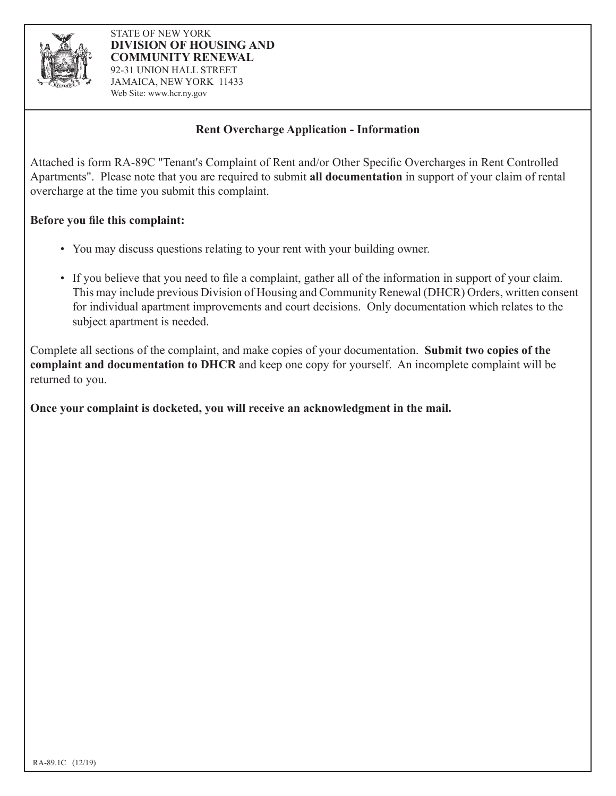

## **Rent Overcharge Application - Information**

Attached is form RA-89C "Tenant's Complaint of Rent and/or Other Specific Overcharges in Rent Controlled Apartments". Please note that you are required to submit **all documentation** in support of your claim of rental overcharge at the time you submit this complaint.

## **Before you file this complaint:**

- You may discuss questions relating to your rent with your building owner.
- If you believe that you need to file a complaint, gather all of the information in support of your claim. This may include previous Division of Housing and Community Renewal (DHCR) Orders, written consent for individual apartment improvements and court decisions. Only documentation which relates to the subject apartment is needed.

Complete all sections of the complaint, and make copies of your documentation. **Submit two copies of the complaint and documentation to DHCR** and keep one copy for yourself. An incomplete complaint will be returned to you.

**Once your complaint is docketed, you will receive an acknowledgment in the mail.**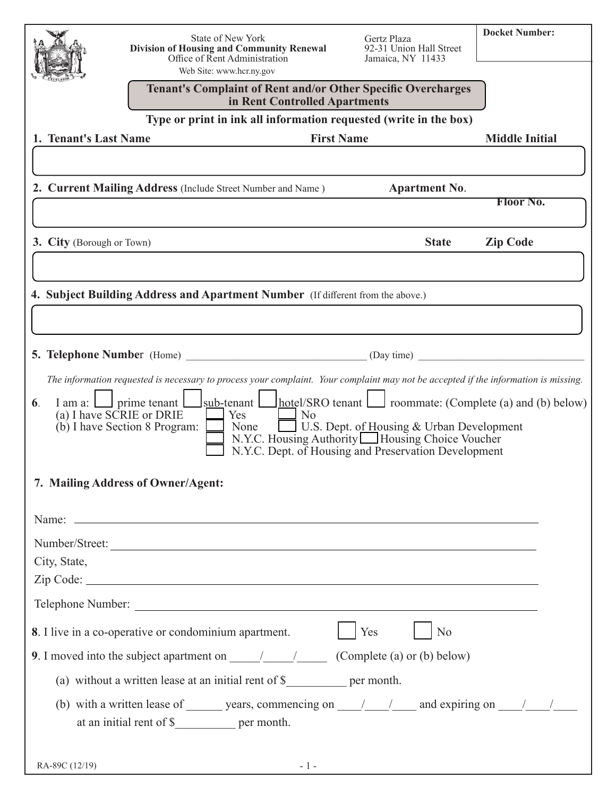|                                                                                                                                                                                                                                                                                                                                                                          | State of New York                                                                                                                                                                                                                   | Gertz Plaza                                  | <b>Docket Number:</b> |  |  |  |  |
|--------------------------------------------------------------------------------------------------------------------------------------------------------------------------------------------------------------------------------------------------------------------------------------------------------------------------------------------------------------------------|-------------------------------------------------------------------------------------------------------------------------------------------------------------------------------------------------------------------------------------|----------------------------------------------|-----------------------|--|--|--|--|
|                                                                                                                                                                                                                                                                                                                                                                          | Division of Housing and Community Renewal<br>Office of Rent Administration                                                                                                                                                          | 92-31 Union Hall Street<br>Jamaica, NY 11433 |                       |  |  |  |  |
|                                                                                                                                                                                                                                                                                                                                                                          | Web Site: www.hcr.ny.gov                                                                                                                                                                                                            |                                              |                       |  |  |  |  |
|                                                                                                                                                                                                                                                                                                                                                                          | <b>Tenant's Complaint of Rent and/or Other Specific Overcharges</b><br>in Rent Controlled Apartments                                                                                                                                |                                              |                       |  |  |  |  |
| Type or print in ink all information requested (write in the box)                                                                                                                                                                                                                                                                                                        |                                                                                                                                                                                                                                     |                                              |                       |  |  |  |  |
| 1. Tenant's Last Name                                                                                                                                                                                                                                                                                                                                                    | <b>First Name</b>                                                                                                                                                                                                                   |                                              | <b>Middle Initial</b> |  |  |  |  |
|                                                                                                                                                                                                                                                                                                                                                                          |                                                                                                                                                                                                                                     |                                              |                       |  |  |  |  |
|                                                                                                                                                                                                                                                                                                                                                                          | 2. Current Mailing Address (Include Street Number and Name)                                                                                                                                                                         | <b>Apartment No.</b>                         |                       |  |  |  |  |
|                                                                                                                                                                                                                                                                                                                                                                          |                                                                                                                                                                                                                                     |                                              | <b>Floor No.</b>      |  |  |  |  |
|                                                                                                                                                                                                                                                                                                                                                                          |                                                                                                                                                                                                                                     |                                              |                       |  |  |  |  |
| <b>3. City</b> (Borough or Town)                                                                                                                                                                                                                                                                                                                                         |                                                                                                                                                                                                                                     | <b>State</b>                                 | <b>Zip Code</b>       |  |  |  |  |
|                                                                                                                                                                                                                                                                                                                                                                          |                                                                                                                                                                                                                                     |                                              |                       |  |  |  |  |
|                                                                                                                                                                                                                                                                                                                                                                          | 4. Subject Building Address and Apartment Number (If different from the above.)                                                                                                                                                     |                                              |                       |  |  |  |  |
|                                                                                                                                                                                                                                                                                                                                                                          |                                                                                                                                                                                                                                     |                                              |                       |  |  |  |  |
|                                                                                                                                                                                                                                                                                                                                                                          |                                                                                                                                                                                                                                     |                                              |                       |  |  |  |  |
| <b>5. Telephone Number</b> (Home)                                                                                                                                                                                                                                                                                                                                        |                                                                                                                                                                                                                                     | (Day time)                                   |                       |  |  |  |  |
|                                                                                                                                                                                                                                                                                                                                                                          | The information requested is necessary to process your complaint. Your complaint may not be accepted if the information is missing.                                                                                                 |                                              |                       |  |  |  |  |
| hotel/SRO tenant<br>prime tenant<br>sub-tenant<br>$\Box$ roommate: (Complete (a) and (b) below)<br>6.<br>I am a: L<br>(a) I have SCRIE or DRIE<br>Yes<br>N <sub>o</sub><br>(b) I have Section 8 Program:<br>U.S. Dept. of Housing & Urban Development<br>None<br>N.Y.C. Housing Authority Housing Choice Voucher<br>N.Y.C. Dept. of Housing and Preservation Development |                                                                                                                                                                                                                                     |                                              |                       |  |  |  |  |
| 7. Mailing Address of Owner/Agent:                                                                                                                                                                                                                                                                                                                                       |                                                                                                                                                                                                                                     |                                              |                       |  |  |  |  |
|                                                                                                                                                                                                                                                                                                                                                                          | Name: <u>example</u> and the contract of the contract of the contract of the contract of the contract of the contract of the contract of the contract of the contract of the contract of the contract of the contract of the contra |                                              |                       |  |  |  |  |
| Number/Street:                                                                                                                                                                                                                                                                                                                                                           |                                                                                                                                                                                                                                     |                                              |                       |  |  |  |  |
| City, State,                                                                                                                                                                                                                                                                                                                                                             |                                                                                                                                                                                                                                     |                                              |                       |  |  |  |  |
|                                                                                                                                                                                                                                                                                                                                                                          |                                                                                                                                                                                                                                     |                                              |                       |  |  |  |  |
|                                                                                                                                                                                                                                                                                                                                                                          |                                                                                                                                                                                                                                     |                                              |                       |  |  |  |  |
| 8. I live in a co-operative or condominium apartment.<br>Yes<br>N <sub>o</sub>                                                                                                                                                                                                                                                                                           |                                                                                                                                                                                                                                     |                                              |                       |  |  |  |  |
| 9. I moved into the subject apartment on $\frac{1}{\sqrt{2}}$ (Complete (a) or (b) below)                                                                                                                                                                                                                                                                                |                                                                                                                                                                                                                                     |                                              |                       |  |  |  |  |
| (a) without a written lease at an initial rent of \$ _______________ per month.                                                                                                                                                                                                                                                                                          |                                                                                                                                                                                                                                     |                                              |                       |  |  |  |  |
|                                                                                                                                                                                                                                                                                                                                                                          |                                                                                                                                                                                                                                     |                                              |                       |  |  |  |  |
| at an initial rent of \$______________ per month.                                                                                                                                                                                                                                                                                                                        |                                                                                                                                                                                                                                     |                                              |                       |  |  |  |  |
|                                                                                                                                                                                                                                                                                                                                                                          |                                                                                                                                                                                                                                     |                                              |                       |  |  |  |  |
| RA-89C (12/19)                                                                                                                                                                                                                                                                                                                                                           |                                                                                                                                                                                                                                     |                                              |                       |  |  |  |  |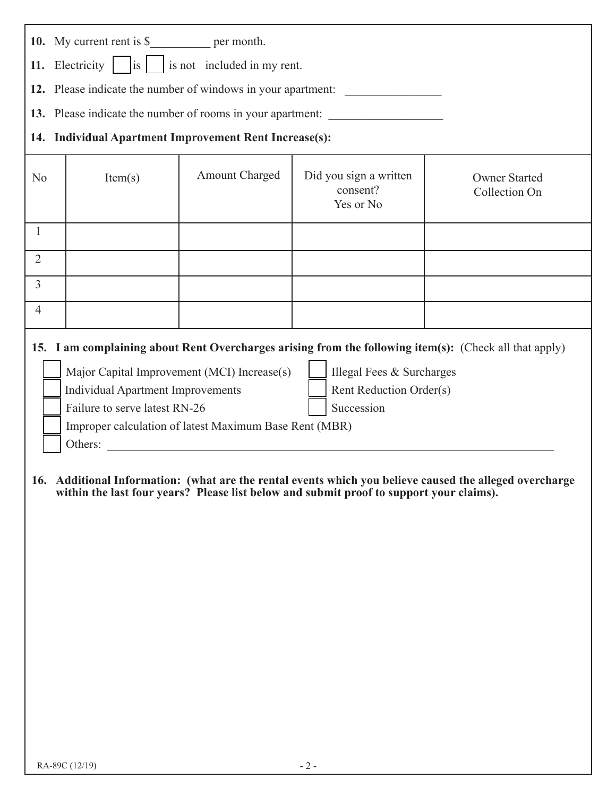|                                                        | 10. My current rent is \$_________________ per month.                                                   |                |                                                 |                                       |  |  |  |
|--------------------------------------------------------|---------------------------------------------------------------------------------------------------------|----------------|-------------------------------------------------|---------------------------------------|--|--|--|
|                                                        | 11. Electricity $\begin{vmatrix} is \end{vmatrix}$ is not included in my rent.                          |                |                                                 |                                       |  |  |  |
|                                                        | 12. Please indicate the number of windows in your apartment: ___________________                        |                |                                                 |                                       |  |  |  |
|                                                        | 13. Please indicate the number of rooms in your apartment:                                              |                |                                                 |                                       |  |  |  |
| 14. Individual Apartment Improvement Rent Increase(s): |                                                                                                         |                |                                                 |                                       |  |  |  |
| No                                                     | Item(s)                                                                                                 | Amount Charged | Did you sign a written<br>consent?<br>Yes or No | <b>Owner Started</b><br>Collection On |  |  |  |
| 1                                                      |                                                                                                         |                |                                                 |                                       |  |  |  |
| $\overline{2}$                                         |                                                                                                         |                |                                                 |                                       |  |  |  |
| $\overline{3}$                                         |                                                                                                         |                |                                                 |                                       |  |  |  |
| $\overline{4}$                                         |                                                                                                         |                |                                                 |                                       |  |  |  |
|                                                        | 15. I am complaining about Rent Overcharges arising from the following item(s): (Check all that apply)  |                |                                                 |                                       |  |  |  |
|                                                        | Major Capital Improvement (MCI) Increase(s)<br>Illegal Fees & Surcharges                                |                |                                                 |                                       |  |  |  |
|                                                        | <b>Individual Apartment Improvements</b><br>Rent Reduction Order(s)                                     |                |                                                 |                                       |  |  |  |
|                                                        | Failure to serve latest RN-26<br>Succession<br>Improper calculation of latest Maximum Base Rent (MBR)   |                |                                                 |                                       |  |  |  |
|                                                        | Others:                                                                                                 |                |                                                 |                                       |  |  |  |
|                                                        |                                                                                                         |                |                                                 |                                       |  |  |  |
|                                                        | 16. Additional Information: (what are the rental events which you believe caused the alleged overcharge |                |                                                 |                                       |  |  |  |

**within the last four years? Please list below and submit proof to support your claims).**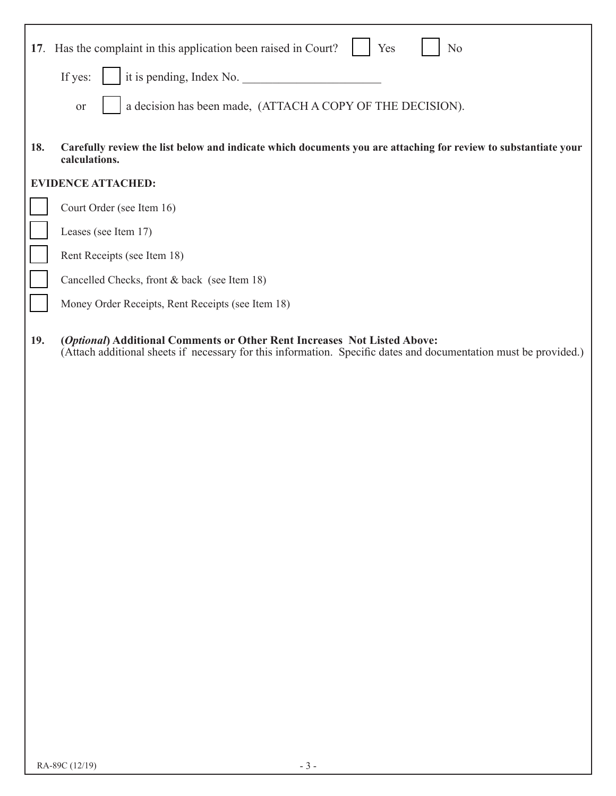|     | 17. Has the complaint in this application been raised in Court?<br>No<br>Yes<br>it is pending, Index No.<br>If yes:                                                                          |  |  |  |  |
|-----|----------------------------------------------------------------------------------------------------------------------------------------------------------------------------------------------|--|--|--|--|
|     | a decision has been made, (ATTACH A COPY OF THE DECISION).<br><b>or</b>                                                                                                                      |  |  |  |  |
| 18. | Carefully review the list below and indicate which documents you are attaching for review to substantiate your<br>calculations.                                                              |  |  |  |  |
|     | <b>EVIDENCE ATTACHED:</b>                                                                                                                                                                    |  |  |  |  |
|     | Court Order (see Item 16)                                                                                                                                                                    |  |  |  |  |
|     | Leases (see Item 17)                                                                                                                                                                         |  |  |  |  |
|     | Rent Receipts (see Item 18)                                                                                                                                                                  |  |  |  |  |
|     | Cancelled Checks, front & back (see Item 18)                                                                                                                                                 |  |  |  |  |
|     | Money Order Receipts, Rent Receipts (see Item 18)                                                                                                                                            |  |  |  |  |
| 19. | (Optional) Additional Comments or Other Rent Increases Not Listed Above:<br>(Attach additional sheets if necessary for this information. Specific dates and documentation must be provided.) |  |  |  |  |
|     |                                                                                                                                                                                              |  |  |  |  |
|     |                                                                                                                                                                                              |  |  |  |  |
|     |                                                                                                                                                                                              |  |  |  |  |
|     |                                                                                                                                                                                              |  |  |  |  |
|     |                                                                                                                                                                                              |  |  |  |  |
|     |                                                                                                                                                                                              |  |  |  |  |
|     |                                                                                                                                                                                              |  |  |  |  |
|     |                                                                                                                                                                                              |  |  |  |  |
|     |                                                                                                                                                                                              |  |  |  |  |
|     |                                                                                                                                                                                              |  |  |  |  |
|     |                                                                                                                                                                                              |  |  |  |  |
|     |                                                                                                                                                                                              |  |  |  |  |
|     |                                                                                                                                                                                              |  |  |  |  |
|     |                                                                                                                                                                                              |  |  |  |  |